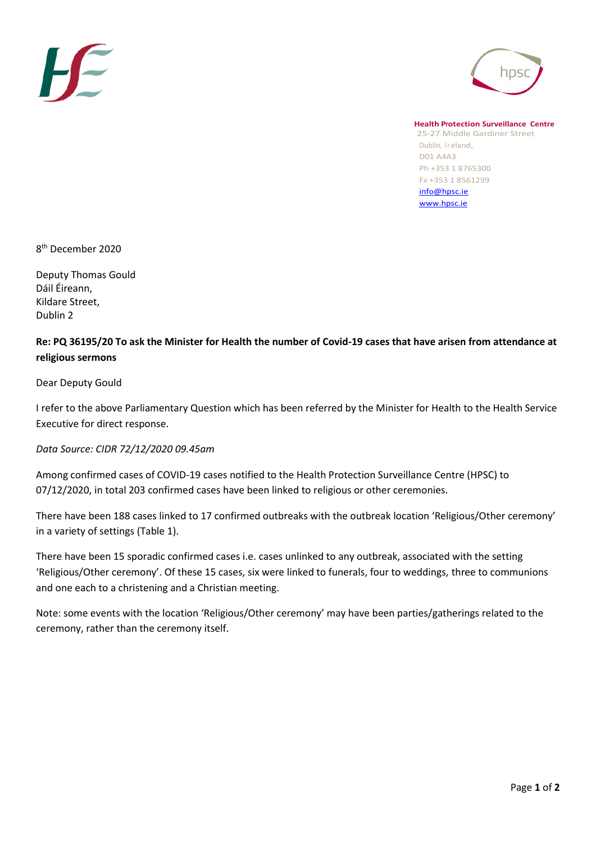



**Health Protection Surveillance Centre** 25-27 Middle Gardiner Street Dublin, Ireland, D01 A4A3 Ph +353 1 8765300 Fx +353 1 8561299 [info@hpsc.ie](mailto:info@hpsc.ie) [www.hpsc.ie](http://www.hpsc.ie/)

8 th December 2020

Deputy Thomas Gould Dáil Éireann, Kildare Street, Dublin 2

## **Re: PQ 36195/20 To ask the Minister for Health the number of Covid-19 cases that have arisen from attendance at religious sermons**

Dear Deputy Gould

I refer to the above Parliamentary Question which has been referred by the Minister for Health to the Health Service Executive for direct response.

*Data Source: CIDR 72/12/2020 09.45am*

Among confirmed cases of COVID-19 cases notified to the Health Protection Surveillance Centre (HPSC) to 07/12/2020, in total 203 confirmed cases have been linked to religious or other ceremonies.

There have been 188 cases linked to 17 confirmed outbreaks with the outbreak location 'Religious/Other ceremony' in a variety of settings (Table 1).

There have been 15 sporadic confirmed cases i.e. cases unlinked to any outbreak, associated with the setting 'Religious/Other ceremony'. Of these 15 cases, six were linked to funerals, four to weddings, three to communions and one each to a christening and a Christian meeting.

Note: some events with the location 'Religious/Other ceremony' may have been parties/gatherings related to the ceremony, rather than the ceremony itself.